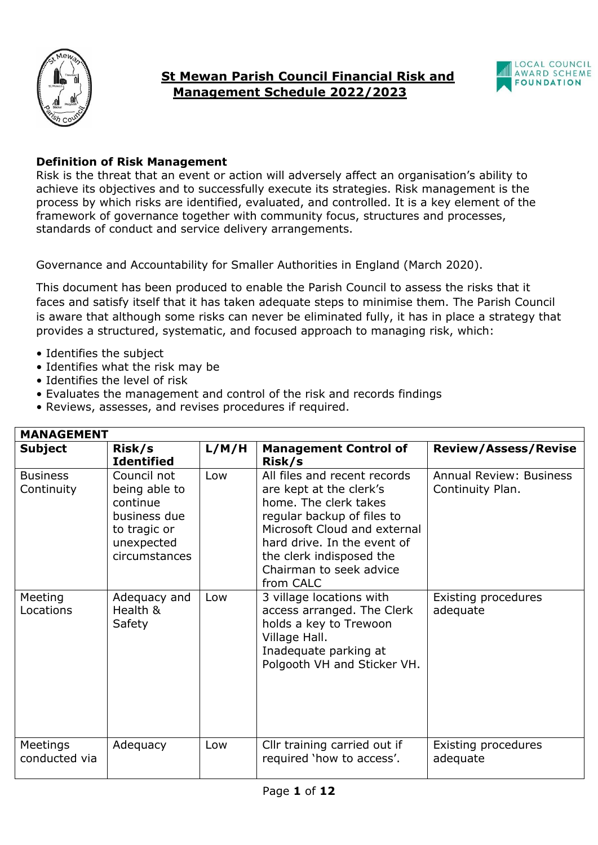



## **Definition of Risk Management**

Risk is the threat that an event or action will adversely affect an organisation's ability to achieve its objectives and to successfully execute its strategies. Risk management is the process by which risks are identified, evaluated, and controlled. It is a key element of the framework of governance together with community focus, structures and processes, standards of conduct and service delivery arrangements.

Governance and Accountability for Smaller Authorities in England (March 2020).

This document has been produced to enable the Parish Council to assess the risks that it faces and satisfy itself that it has taken adequate steps to minimise them. The Parish Council is aware that although some risks can never be eliminated fully, it has in place a strategy that provides a structured, systematic, and focused approach to managing risk, which:

- Identifies the subject
- Identifies what the risk may be
- Identifies the level of risk
- Evaluates the management and control of the risk and records findings
- Reviews, assesses, and revises procedures if required.

| <b>MANAGEMENT</b>             |                                                                                                         |       |                                                                                                                                                                                                                                                   |                                                    |  |
|-------------------------------|---------------------------------------------------------------------------------------------------------|-------|---------------------------------------------------------------------------------------------------------------------------------------------------------------------------------------------------------------------------------------------------|----------------------------------------------------|--|
| Subject                       | Risk/s<br><b>Identified</b>                                                                             | L/M/H | <b>Management Control of</b><br>Risk/s                                                                                                                                                                                                            | <b>Review/Assess/Revise</b>                        |  |
| <b>Business</b><br>Continuity | Council not<br>being able to<br>continue<br>business due<br>to tragic or<br>unexpected<br>circumstances | Low   | All files and recent records<br>are kept at the clerk's<br>home. The clerk takes<br>regular backup of files to<br>Microsoft Cloud and external<br>hard drive. In the event of<br>the clerk indisposed the<br>Chairman to seek advice<br>from CALC | <b>Annual Review: Business</b><br>Continuity Plan. |  |
| Meeting<br>Locations          | Adequacy and<br>Health &<br>Safety                                                                      | Low   | 3 village locations with<br>access arranged. The Clerk<br>holds a key to Trewoon<br>Village Hall.<br>Inadequate parking at<br>Polgooth VH and Sticker VH.                                                                                         | Existing procedures<br>adequate                    |  |
| Meetings<br>conducted via     | Adequacy                                                                                                | Low   | Cllr training carried out if<br>required 'how to access'.                                                                                                                                                                                         | Existing procedures<br>adequate                    |  |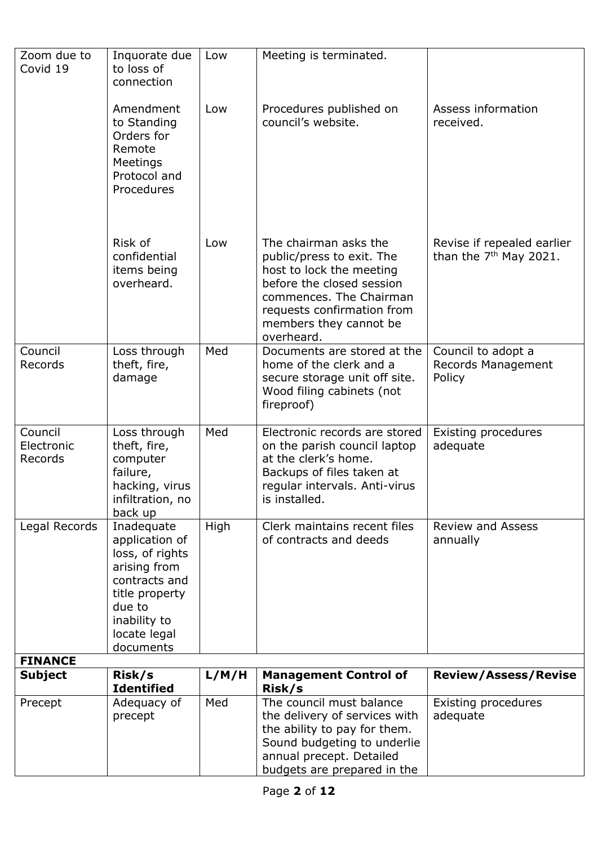| Zoom due to<br>Covid 19          | Inquorate due<br>to loss of<br>connection                                                                                                                 | Low   | Meeting is terminated.                                                                                                                                                                                       |                                                        |
|----------------------------------|-----------------------------------------------------------------------------------------------------------------------------------------------------------|-------|--------------------------------------------------------------------------------------------------------------------------------------------------------------------------------------------------------------|--------------------------------------------------------|
|                                  | Amendment<br>to Standing<br>Orders for<br>Remote<br>Meetings<br>Protocol and<br>Procedures                                                                | Low   | Procedures published on<br>council's website.                                                                                                                                                                | Assess information<br>received.                        |
|                                  | Risk of<br>confidential<br>items being<br>overheard.                                                                                                      | Low   | The chairman asks the<br>public/press to exit. The<br>host to lock the meeting<br>before the closed session<br>commences. The Chairman<br>requests confirmation from<br>members they cannot be<br>overheard. | Revise if repealed earlier<br>than the $7th$ May 2021. |
| Council<br>Records               | Loss through<br>theft, fire,<br>damage                                                                                                                    | Med   | Documents are stored at the<br>home of the clerk and a<br>secure storage unit off site.<br>Wood filing cabinets (not<br>fireproof)                                                                           | Council to adopt a<br>Records Management<br>Policy     |
| Council<br>Electronic<br>Records | Loss through<br>theft, fire,<br>computer<br>failure,<br>hacking, virus<br>infiltration, no<br>back up                                                     | Med   | Electronic records are stored<br>on the parish council laptop<br>at the clerk's home.<br>Backups of files taken at<br>regular intervals. Anti-virus<br>is installed.                                         | Existing procedures<br>adequate                        |
| Legal Records<br><b>FINANCE</b>  | Inadequate<br>application of<br>loss, of rights<br>arising from<br>contracts and<br>title property<br>due to<br>inability to<br>locate legal<br>documents | High  | Clerk maintains recent files<br>of contracts and deeds                                                                                                                                                       | <b>Review and Assess</b><br>annually                   |
| <b>Subject</b>                   | Risk/s                                                                                                                                                    | L/M/H | <b>Management Control of</b>                                                                                                                                                                                 | <b>Review/Assess/Revise</b>                            |
| Precept                          | <b>Identified</b><br>Adequacy of<br>precept                                                                                                               | Med   | Risk/s<br>The council must balance<br>the delivery of services with<br>the ability to pay for them.<br>Sound budgeting to underlie<br>annual precept. Detailed<br>budgets are prepared in the                | Existing procedures<br>adequate                        |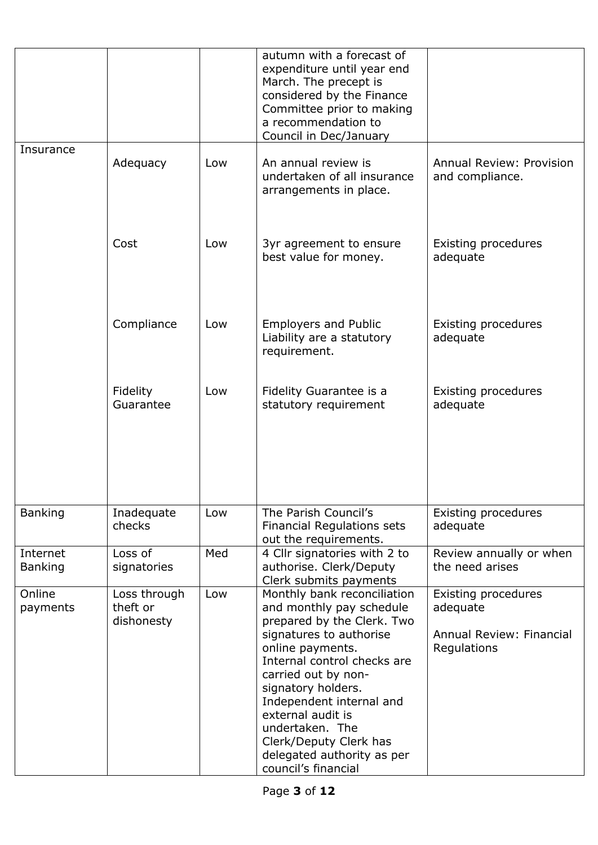|                            |                                        |     | autumn with a forecast of<br>expenditure until year end<br>March. The precept is<br>considered by the Finance<br>Committee prior to making<br>a recommendation to<br>Council in Dec/January                                                                                                                                                                         |                                                                            |
|----------------------------|----------------------------------------|-----|---------------------------------------------------------------------------------------------------------------------------------------------------------------------------------------------------------------------------------------------------------------------------------------------------------------------------------------------------------------------|----------------------------------------------------------------------------|
| <b>Insurance</b>           | Adequacy                               | Low | An annual review is<br>undertaken of all insurance<br>arrangements in place.                                                                                                                                                                                                                                                                                        | <b>Annual Review: Provision</b><br>and compliance.                         |
|                            | Cost                                   | Low | 3yr agreement to ensure<br>best value for money.                                                                                                                                                                                                                                                                                                                    | Existing procedures<br>adequate                                            |
|                            | Compliance                             | Low | <b>Employers and Public</b><br>Liability are a statutory<br>requirement.                                                                                                                                                                                                                                                                                            | Existing procedures<br>adequate                                            |
|                            | Fidelity<br>Guarantee                  | Low | Fidelity Guarantee is a<br>statutory requirement                                                                                                                                                                                                                                                                                                                    | Existing procedures<br>adequate                                            |
| <b>Banking</b>             | Inadequate<br>checks                   | Low | The Parish Council's<br><b>Financial Regulations sets</b><br>out the requirements.                                                                                                                                                                                                                                                                                  | Existing procedures<br>adequate                                            |
| Internet<br><b>Banking</b> | Loss of<br>signatories                 | Med | 4 Cllr signatories with 2 to<br>authorise. Clerk/Deputy<br>Clerk submits payments                                                                                                                                                                                                                                                                                   | Review annually or when<br>the need arises                                 |
| Online<br>payments         | Loss through<br>theft or<br>dishonesty | Low | Monthly bank reconciliation<br>and monthly pay schedule<br>prepared by the Clerk. Two<br>signatures to authorise<br>online payments.<br>Internal control checks are<br>carried out by non-<br>signatory holders.<br>Independent internal and<br>external audit is<br>undertaken. The<br>Clerk/Deputy Clerk has<br>delegated authority as per<br>council's financial | Existing procedures<br>adequate<br>Annual Review: Financial<br>Regulations |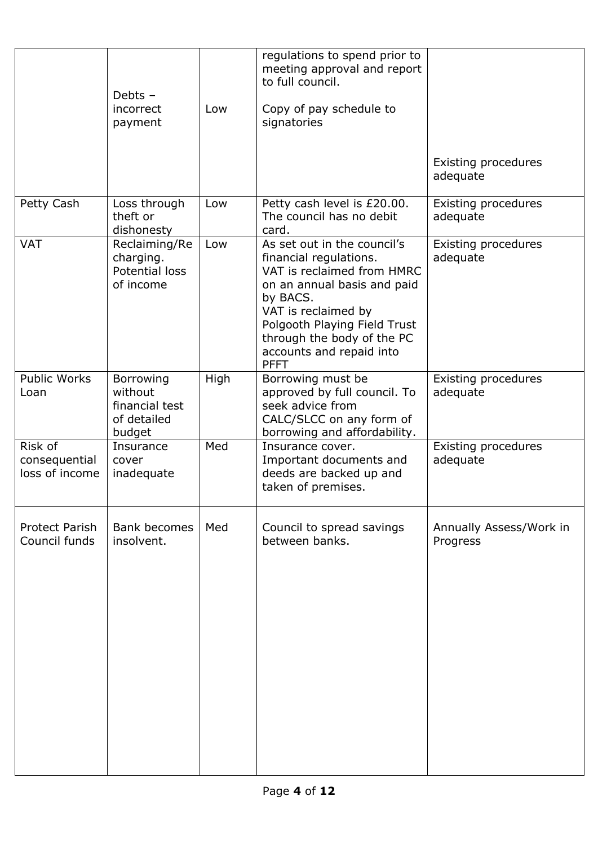|                                            | Debts $-$<br>incorrect<br>payment                               | Low  | regulations to spend prior to<br>meeting approval and report<br>to full council.<br>Copy of pay schedule to<br>signatories                                                                                                                                     | Existing procedures<br>adequate     |
|--------------------------------------------|-----------------------------------------------------------------|------|----------------------------------------------------------------------------------------------------------------------------------------------------------------------------------------------------------------------------------------------------------------|-------------------------------------|
| Petty Cash                                 | Loss through<br>theft or<br>dishonesty                          | Low  | Petty cash level is £20.00.<br>The council has no debit<br>card.                                                                                                                                                                                               | Existing procedures<br>adequate     |
| <b>VAT</b>                                 | Reclaiming/Re<br>charging.<br>Potential loss<br>of income       | Low  | As set out in the council's<br>financial regulations.<br>VAT is reclaimed from HMRC<br>on an annual basis and paid<br>by BACS.<br>VAT is reclaimed by<br>Polgooth Playing Field Trust<br>through the body of the PC<br>accounts and repaid into<br><b>PFFT</b> | Existing procedures<br>adequate     |
| <b>Public Works</b><br>Loan                | Borrowing<br>without<br>financial test<br>of detailed<br>budget | High | Borrowing must be<br>approved by full council. To<br>seek advice from<br>CALC/SLCC on any form of<br>borrowing and affordability.                                                                                                                              | Existing procedures<br>adequate     |
| Risk of<br>consequential<br>loss of income | Insurance<br>cover<br>inadequate                                | Med  | Insurance cover.<br>Important documents and<br>deeds are backed up and<br>taken of premises.                                                                                                                                                                   | Existing procedures<br>adequate     |
| <b>Protect Parish</b><br>Council funds     | <b>Bank becomes</b><br>insolvent.                               | Med  | Council to spread savings<br>between banks.                                                                                                                                                                                                                    | Annually Assess/Work in<br>Progress |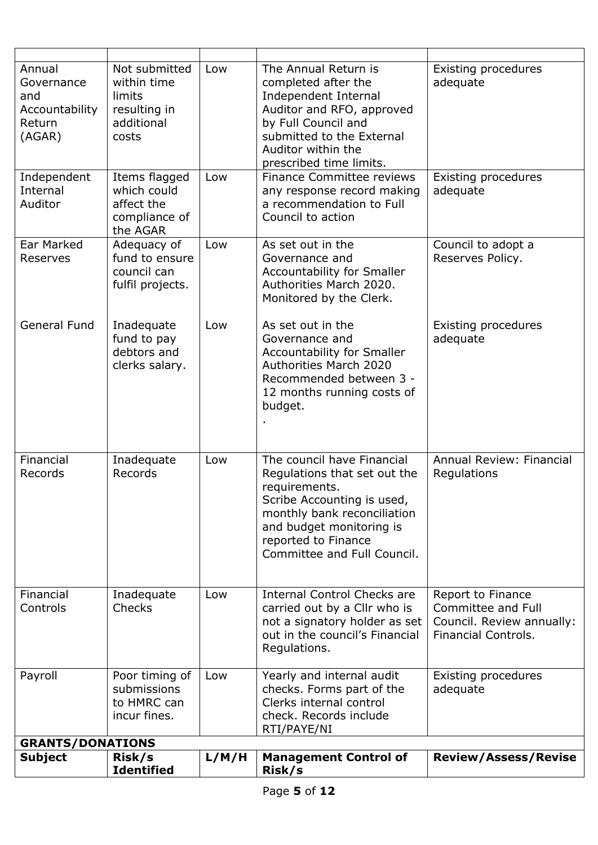| Annual<br>Governance<br>and<br>Accountability<br>Return<br>(AGAR) | Not submitted<br>within time<br>limits<br>resulting in<br>additional<br>costs | Low   | The Annual Return is<br>completed after the<br>Independent Internal<br>Auditor and RFO, approved<br>by Full Council and<br>submitted to the External<br>Auditor within the<br>prescribed time limits.                      | Existing procedures<br>adequate                                                                    |
|-------------------------------------------------------------------|-------------------------------------------------------------------------------|-------|----------------------------------------------------------------------------------------------------------------------------------------------------------------------------------------------------------------------------|----------------------------------------------------------------------------------------------------|
| Independent<br>Internal<br>Auditor                                | Items flagged<br>which could<br>affect the<br>compliance of<br>the AGAR       | Low   | <b>Finance Committee reviews</b><br>any response record making<br>a recommendation to Full<br>Council to action                                                                                                            | Existing procedures<br>adequate                                                                    |
| Ear Marked<br>Reserves                                            | Adequacy of<br>fund to ensure<br>council can<br>fulfil projects.              | Low   | As set out in the<br>Governance and<br>Accountability for Smaller<br>Authorities March 2020.<br>Monitored by the Clerk.                                                                                                    | Council to adopt a<br>Reserves Policy.                                                             |
| <b>General Fund</b>                                               | Inadequate<br>fund to pay<br>debtors and<br>clerks salary.                    | Low   | As set out in the<br>Governance and<br>Accountability for Smaller<br><b>Authorities March 2020</b><br>Recommended between 3 -<br>12 months running costs of<br>budget.                                                     | <b>Existing procedures</b><br>adequate                                                             |
| Financial<br>Records                                              | Inadequate<br>Records                                                         | Low   | The council have Financial<br>Regulations that set out the<br>requirements.<br>Scribe Accounting is used,<br>monthly bank reconciliation<br>and budget monitoring is<br>reported to Finance<br>Committee and Full Council. | Annual Review: Financial<br>Regulations                                                            |
| Financial<br>Controls                                             | Inadequate<br>Checks                                                          | Low   | <b>Internal Control Checks are</b><br>carried out by a Cllr who is<br>not a signatory holder as set<br>out in the council's Financial<br>Regulations.                                                                      | Report to Finance<br>Committee and Full<br>Council. Review annually:<br><b>Financial Controls.</b> |
| Payroll<br><b>GRANTS/DONATIONS</b>                                | Poor timing of<br>submissions<br>to HMRC can<br>incur fines.                  | Low   | Yearly and internal audit<br>checks. Forms part of the<br>Clerks internal control<br>check. Records include<br>RTI/PAYE/NI                                                                                                 | <b>Existing procedures</b><br>adequate                                                             |
| <b>Subject</b>                                                    | Risk/s                                                                        | L/M/H | <b>Management Control of</b>                                                                                                                                                                                               | <b>Review/Assess/Revise</b>                                                                        |
|                                                                   | <b>Identified</b>                                                             |       | Risk/s                                                                                                                                                                                                                     |                                                                                                    |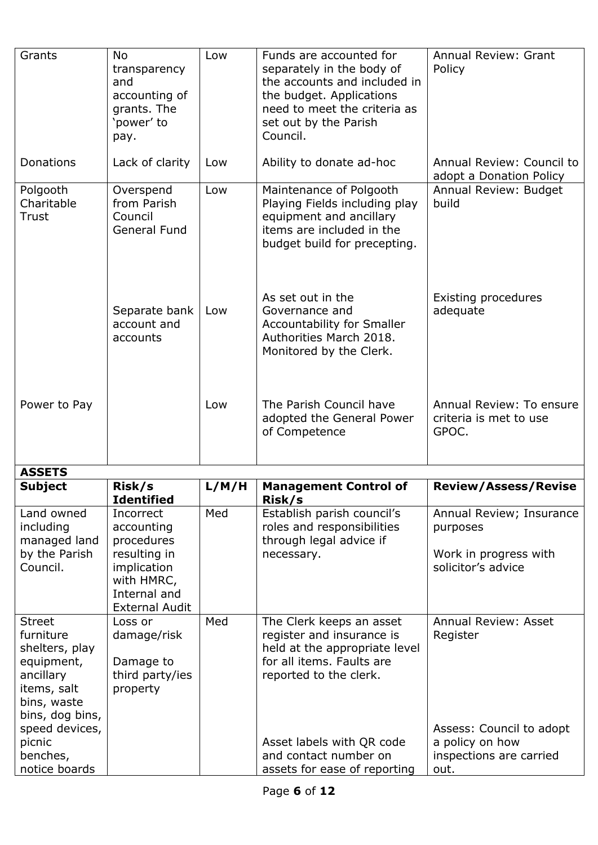| Grants                                                                                                                                               | <b>No</b><br>transparency<br>and<br>accounting of<br>grants. The<br>'power' to<br>pay.                                      | Low   | Funds are accounted for<br>separately in the body of<br>the accounts and included in<br>the budget. Applications<br>need to meet the criteria as<br>set out by the Parish<br>Council. | <b>Annual Review: Grant</b><br>Policy                                                  |
|------------------------------------------------------------------------------------------------------------------------------------------------------|-----------------------------------------------------------------------------------------------------------------------------|-------|---------------------------------------------------------------------------------------------------------------------------------------------------------------------------------------|----------------------------------------------------------------------------------------|
| Donations                                                                                                                                            | Lack of clarity                                                                                                             | Low   | Ability to donate ad-hoc                                                                                                                                                              | Annual Review: Council to<br>adopt a Donation Policy                                   |
| Polgooth<br>Charitable<br>Trust                                                                                                                      | Overspend<br>from Parish<br>Council<br>General Fund                                                                         | Low   | Maintenance of Polgooth<br>Playing Fields including play<br>equipment and ancillary<br>items are included in the<br>budget build for precepting.                                      | Annual Review: Budget<br>build                                                         |
|                                                                                                                                                      | Separate bank<br>account and<br>accounts                                                                                    | Low   | As set out in the<br>Governance and<br>Accountability for Smaller<br>Authorities March 2018.<br>Monitored by the Clerk.                                                               | <b>Existing procedures</b><br>adequate                                                 |
| Power to Pay                                                                                                                                         |                                                                                                                             | Low   | The Parish Council have<br>adopted the General Power<br>of Competence                                                                                                                 | Annual Review: To ensure<br>criteria is met to use<br>GPOC.                            |
| <b>ASSETS</b>                                                                                                                                        |                                                                                                                             |       |                                                                                                                                                                                       |                                                                                        |
| <b>Subject</b>                                                                                                                                       | Risk/s<br><b>Identified</b>                                                                                                 | L/M/H | <b>Management Control of</b><br>Risk/s                                                                                                                                                | <b>Review/Assess/Revise</b>                                                            |
| Land owned<br>including<br>managed land<br>by the Parish<br>Council.                                                                                 | Incorrect<br>accounting<br>procedures<br>resulting in<br>implication<br>with HMRC,<br>Internal and<br><b>External Audit</b> | Med   | Establish parish council's<br>roles and responsibilities<br>through legal advice if<br>necessary.                                                                                     | Annual Review; Insurance<br>purposes<br>Work in progress with<br>solicitor's advice    |
| <b>Street</b><br>furniture<br>shelters, play<br>equipment,<br>ancillary<br>items, salt<br>bins, waste<br>bins, dog bins,<br>speed devices,<br>picnic | Loss or<br>damage/risk<br>Damage to<br>third party/ies<br>property                                                          | Med   | The Clerk keeps an asset<br>register and insurance is<br>held at the appropriate level<br>for all items. Faults are<br>reported to the clerk.<br>Asset labels with QR code            | <b>Annual Review: Asset</b><br>Register<br>Assess: Council to adopt<br>a policy on how |
| benches,<br>notice boards                                                                                                                            |                                                                                                                             |       | and contact number on<br>assets for ease of reporting                                                                                                                                 | inspections are carried<br>out.                                                        |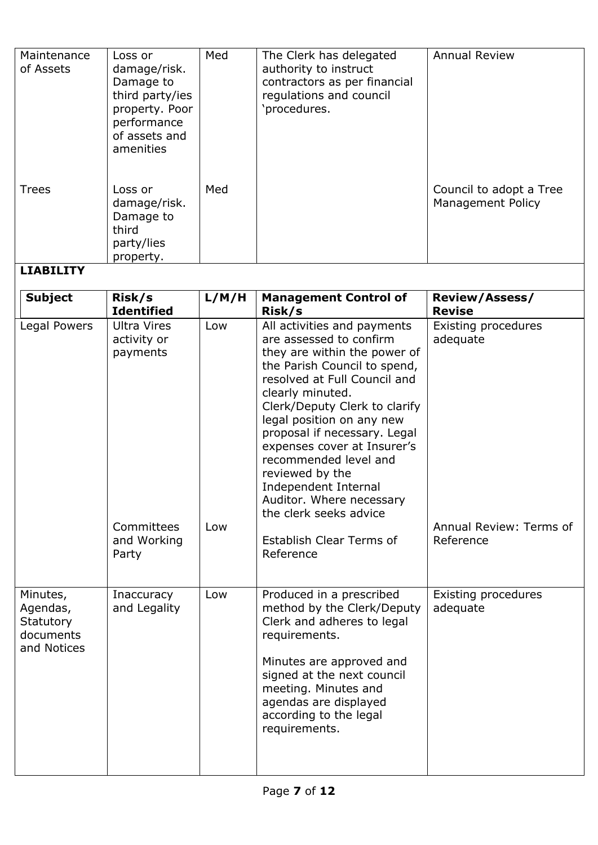| Maintenance<br>of Assets | Loss or<br>damage/risk.<br>Damage to<br>third party/ies<br>property. Poor<br>performance<br>of assets and<br>amenities | Med | The Clerk has delegated<br>authority to instruct<br>contractors as per financial<br>regulations and council<br>'procedures. | <b>Annual Review</b>                                |
|--------------------------|------------------------------------------------------------------------------------------------------------------------|-----|-----------------------------------------------------------------------------------------------------------------------------|-----------------------------------------------------|
| <b>Trees</b>             | Loss or<br>damage/risk.<br>Damage to<br>third<br>party/lies<br>property.                                               | Med |                                                                                                                             | Council to adopt a Tree<br><b>Management Policy</b> |

## **LIABILITY**

| <b>Subject</b>                                                | Risk/s<br><b>Identified</b>                                                         | L/M/H      | <b>Management Control of</b><br>Risk/s                                                                                                                                                                                                                                                                                                                                                                                                                                            | <b>Review/Assess/</b><br><b>Revise</b>                                  |
|---------------------------------------------------------------|-------------------------------------------------------------------------------------|------------|-----------------------------------------------------------------------------------------------------------------------------------------------------------------------------------------------------------------------------------------------------------------------------------------------------------------------------------------------------------------------------------------------------------------------------------------------------------------------------------|-------------------------------------------------------------------------|
| Legal Powers                                                  | <b>Ultra Vires</b><br>activity or<br>payments<br>Committees<br>and Working<br>Party | Low<br>Low | All activities and payments<br>are assessed to confirm<br>they are within the power of<br>the Parish Council to spend,<br>resolved at Full Council and<br>clearly minuted.<br>Clerk/Deputy Clerk to clarify<br>legal position on any new<br>proposal if necessary. Legal<br>expenses cover at Insurer's<br>recommended level and<br>reviewed by the<br>Independent Internal<br>Auditor. Where necessary<br>the clerk seeks advice<br><b>Establish Clear Terms of</b><br>Reference | Existing procedures<br>adequate<br>Annual Review: Terms of<br>Reference |
| Minutes,<br>Agendas,<br>Statutory<br>documents<br>and Notices | Inaccuracy<br>and Legality                                                          | Low        | Produced in a prescribed<br>method by the Clerk/Deputy<br>Clerk and adheres to legal<br>requirements.<br>Minutes are approved and<br>signed at the next council<br>meeting. Minutes and<br>agendas are displayed<br>according to the legal<br>requirements.                                                                                                                                                                                                                       | Existing procedures<br>adequate                                         |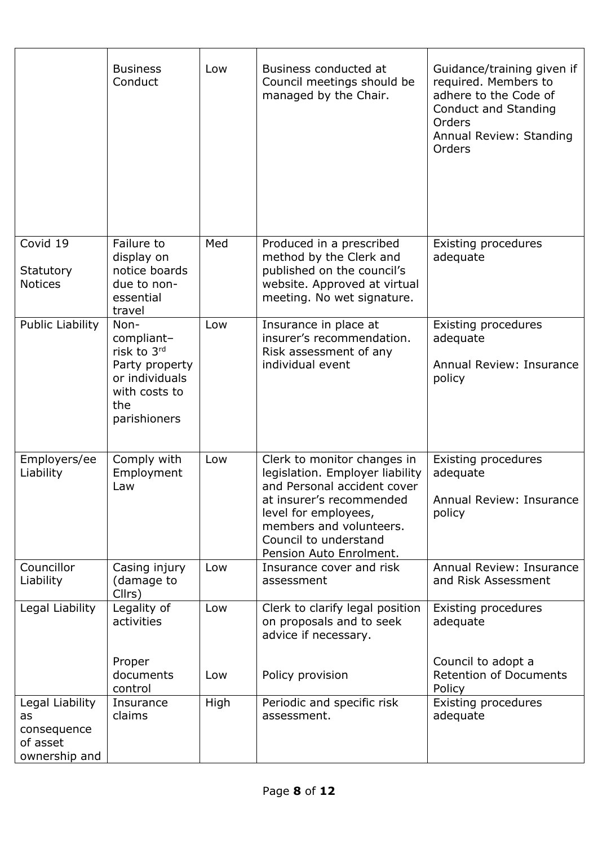|                                          | <b>Business</b><br>Conduct                                                                                    | Low        | Business conducted at<br>Council meetings should be<br>managed by the Chair.                                                                                                                                                     | Guidance/training given if<br>required. Members to<br>adhere to the Code of<br><b>Conduct and Standing</b><br>Orders<br>Annual Review: Standing<br>Orders |
|------------------------------------------|---------------------------------------------------------------------------------------------------------------|------------|----------------------------------------------------------------------------------------------------------------------------------------------------------------------------------------------------------------------------------|-----------------------------------------------------------------------------------------------------------------------------------------------------------|
| Covid 19<br>Statutory<br><b>Notices</b>  | Failure to<br>display on<br>notice boards<br>due to non-<br>essential<br>travel                               | Med        | Produced in a prescribed<br>method by the Clerk and<br>published on the council's<br>website. Approved at virtual<br>meeting. No wet signature.                                                                                  | Existing procedures<br>adequate                                                                                                                           |
| <b>Public Liability</b>                  | Non-<br>compliant-<br>risk to 3rd<br>Party property<br>or individuals<br>with costs to<br>the<br>parishioners | Low        | Insurance in place at<br>insurer's recommendation.<br>Risk assessment of any<br>individual event                                                                                                                                 | Existing procedures<br>adequate<br>Annual Review: Insurance<br>policy                                                                                     |
| Employers/ee<br>Liability                | Comply with<br>Employment<br>Law                                                                              | Low        | Clerk to monitor changes in<br>legislation. Employer liability<br>and Personal accident cover<br>at insurer's recommended<br>level for employees,<br>members and volunteers.<br>Council to understand<br>Pension Auto Enrolment. | Existing procedures<br>adequate<br>Annual Review: Insurance<br>policy                                                                                     |
| Councillor<br>Liability                  | Casing injury<br>(damage to<br>Cllrs)                                                                         | Low        | Insurance cover and risk<br>assessment                                                                                                                                                                                           | Annual Review: Insurance<br>and Risk Assessment                                                                                                           |
| Legal Liability                          | Legality of<br>activities<br>Proper<br>documents                                                              | Low<br>Low | Clerk to clarify legal position<br>on proposals and to seek<br>advice if necessary.<br>Policy provision                                                                                                                          | Existing procedures<br>adequate<br>Council to adopt a<br><b>Retention of Documents</b>                                                                    |
| Legal Liability<br>as                    | control<br>Insurance<br>claims                                                                                | High       | Periodic and specific risk<br>assessment.                                                                                                                                                                                        | Policy<br>Existing procedures<br>adequate                                                                                                                 |
| consequence<br>of asset<br>ownership and |                                                                                                               |            |                                                                                                                                                                                                                                  |                                                                                                                                                           |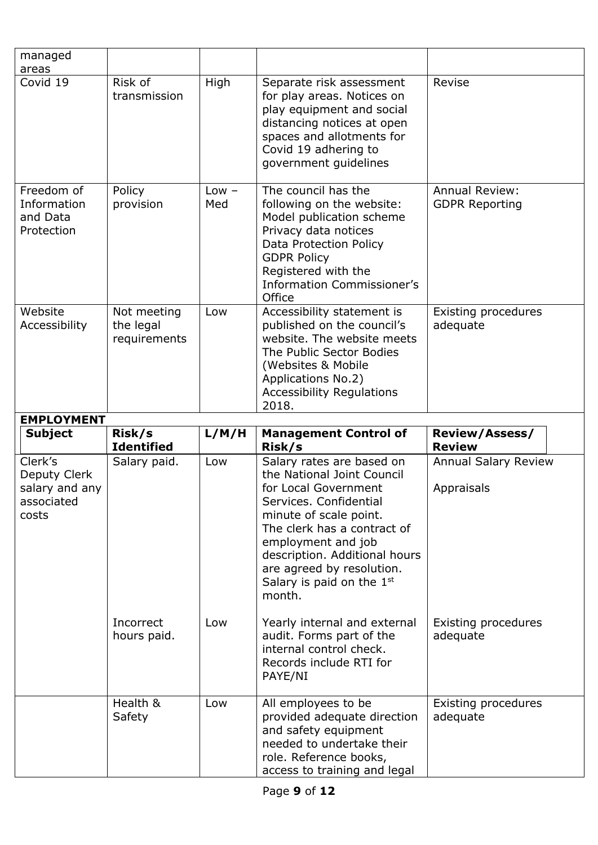| managed<br>areas                                                 |                                          |                |                                                                                                                                                                                                                                                                                                 |                                                |
|------------------------------------------------------------------|------------------------------------------|----------------|-------------------------------------------------------------------------------------------------------------------------------------------------------------------------------------------------------------------------------------------------------------------------------------------------|------------------------------------------------|
| Covid 19                                                         | Risk of<br>transmission                  | High           | Separate risk assessment<br>for play areas. Notices on<br>play equipment and social<br>distancing notices at open<br>spaces and allotments for<br>Covid 19 adhering to<br>government quidelines                                                                                                 | Revise                                         |
| Freedom of<br>Information<br>and Data<br>Protection              | Policy<br>provision                      | $Low -$<br>Med | The council has the<br>following on the website:<br>Model publication scheme<br>Privacy data notices<br>Data Protection Policy<br><b>GDPR Policy</b><br>Registered with the<br><b>Information Commissioner's</b><br>Office                                                                      | <b>Annual Review:</b><br><b>GDPR Reporting</b> |
| Website<br>Accessibility                                         | Not meeting<br>the legal<br>requirements | Low            | Accessibility statement is<br>published on the council's<br>website. The website meets<br>The Public Sector Bodies<br>(Websites & Mobile<br>Applications No.2)<br><b>Accessibility Regulations</b><br>2018.                                                                                     | <b>Existing procedures</b><br>adequate         |
|                                                                  |                                          |                |                                                                                                                                                                                                                                                                                                 |                                                |
| <b>EMPLOYMENT</b>                                                |                                          |                |                                                                                                                                                                                                                                                                                                 |                                                |
| <b>Subject</b>                                                   | Risk/s<br><b>Identified</b>              | L/M/H          | <b>Management Control of</b><br>Risk/s                                                                                                                                                                                                                                                          | <b>Review/Assess/</b><br><b>Review</b>         |
| Clerk's<br>Deputy Clerk<br>salary and any<br>associated<br>costs | Salary paid.                             | Low            | Salary rates are based on<br>the National Joint Council<br>for Local Government<br>Services. Confidential<br>minute of scale point.<br>The clerk has a contract of<br>employment and job<br>description. Additional hours<br>are agreed by resolution.<br>Salary is paid on the $1st$<br>month. | <b>Annual Salary Review</b><br>Appraisals      |
|                                                                  | Incorrect<br>hours paid.                 | Low            | Yearly internal and external<br>audit. Forms part of the<br>internal control check.<br>Records include RTI for<br>PAYE/NI                                                                                                                                                                       | Existing procedures<br>adequate                |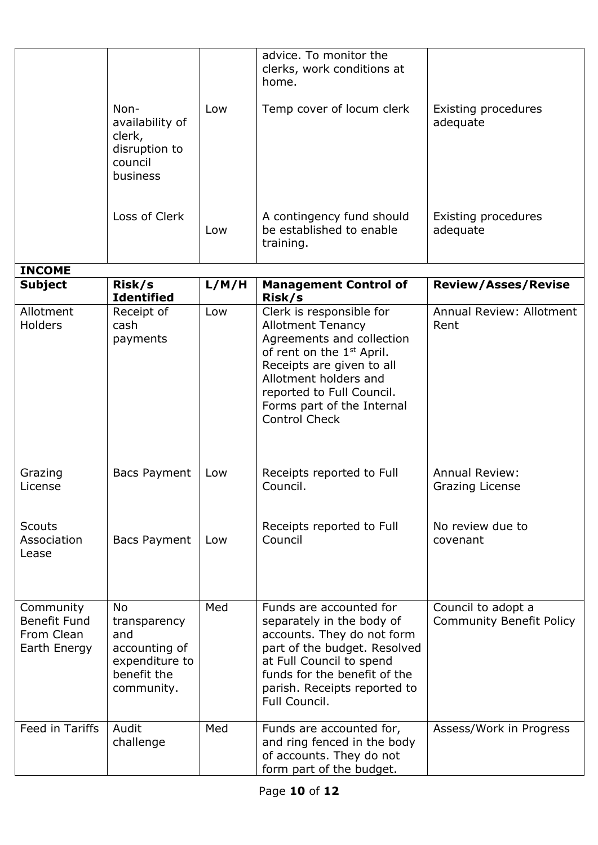|                                                                | Non-                                                                                             | Low        | advice. To monitor the<br>clerks, work conditions at<br>home.<br>Temp cover of locum clerk                                                                                                                                                                                                                                                | Existing procedures                                                                                     |
|----------------------------------------------------------------|--------------------------------------------------------------------------------------------------|------------|-------------------------------------------------------------------------------------------------------------------------------------------------------------------------------------------------------------------------------------------------------------------------------------------------------------------------------------------|---------------------------------------------------------------------------------------------------------|
|                                                                | availability of<br>clerk,<br>disruption to<br>council<br>business                                |            |                                                                                                                                                                                                                                                                                                                                           | adequate                                                                                                |
|                                                                | Loss of Clerk                                                                                    | Low        | A contingency fund should<br>be established to enable<br>training.                                                                                                                                                                                                                                                                        | <b>Existing procedures</b><br>adequate                                                                  |
| <b>INCOME</b>                                                  |                                                                                                  |            |                                                                                                                                                                                                                                                                                                                                           |                                                                                                         |
| <b>Subject</b>                                                 | Risk/s<br><b>Identified</b>                                                                      | L/M/H      | <b>Management Control of</b><br>Risk/s                                                                                                                                                                                                                                                                                                    | <b>Review/Asses/Revise</b>                                                                              |
| Allotment<br>Holders<br>Grazing<br>License<br><b>Scouts</b>    | Receipt of<br>cash<br>payments<br><b>Bacs Payment</b>                                            | Low<br>Low | Clerk is responsible for<br><b>Allotment Tenancy</b><br>Agreements and collection<br>of rent on the 1 <sup>st</sup> April.<br>Receipts are given to all<br>Allotment holders and<br>reported to Full Council.<br>Forms part of the Internal<br><b>Control Check</b><br>Receipts reported to Full<br>Council.<br>Receipts reported to Full | <b>Annual Review: Allotment</b><br>Rent<br><b>Annual Review:</b><br>Grazing License<br>No review due to |
| Association<br>Lease                                           | <b>Bacs Payment</b>                                                                              | Low        | Council                                                                                                                                                                                                                                                                                                                                   | covenant                                                                                                |
| Community<br><b>Benefit Fund</b><br>From Clean<br>Earth Energy | <b>No</b><br>transparency<br>and<br>accounting of<br>expenditure to<br>benefit the<br>community. | Med        | Funds are accounted for<br>separately in the body of<br>accounts. They do not form<br>part of the budget. Resolved<br>at Full Council to spend<br>funds for the benefit of the<br>parish. Receipts reported to<br>Full Council.                                                                                                           | Council to adopt a<br><b>Community Benefit Policy</b>                                                   |
| Feed in Tariffs                                                | Audit<br>challenge                                                                               | Med        | Funds are accounted for,<br>and ring fenced in the body<br>of accounts. They do not<br>form part of the budget.                                                                                                                                                                                                                           | Assess/Work in Progress                                                                                 |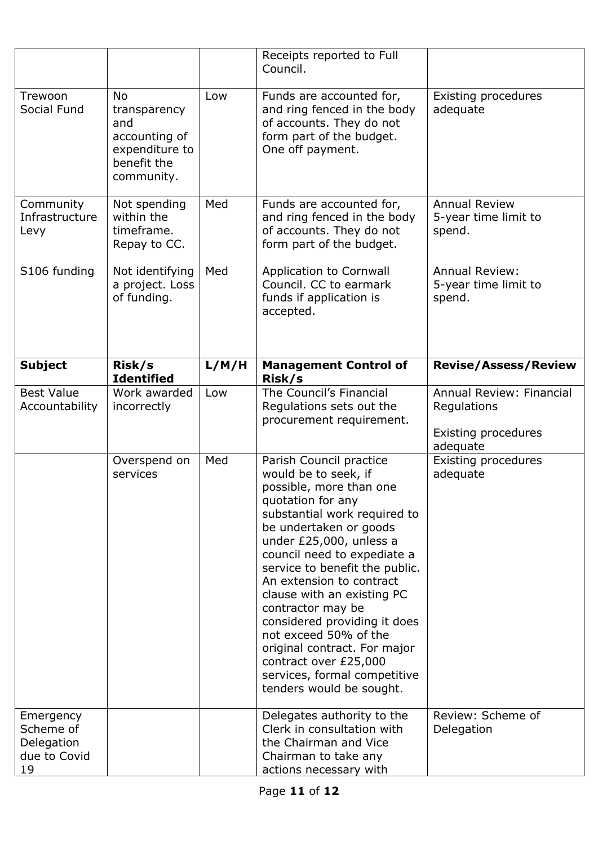|                                                            |                                                                                                  |       | Receipts reported to Full<br>Council.                                                                                                                                                                                                                                                                                                                                                                                                                                                                              |                                                                            |
|------------------------------------------------------------|--------------------------------------------------------------------------------------------------|-------|--------------------------------------------------------------------------------------------------------------------------------------------------------------------------------------------------------------------------------------------------------------------------------------------------------------------------------------------------------------------------------------------------------------------------------------------------------------------------------------------------------------------|----------------------------------------------------------------------------|
| Trewoon<br>Social Fund                                     | <b>No</b><br>transparency<br>and<br>accounting of<br>expenditure to<br>benefit the<br>community. | Low   | Funds are accounted for,<br>and ring fenced in the body<br>of accounts. They do not<br>form part of the budget.<br>One off payment.                                                                                                                                                                                                                                                                                                                                                                                | Existing procedures<br>adequate                                            |
| Community<br>Infrastructure<br>Levy                        | Not spending<br>within the<br>timeframe.<br>Repay to CC.                                         | Med   | Funds are accounted for,<br>and ring fenced in the body<br>of accounts. They do not<br>form part of the budget.                                                                                                                                                                                                                                                                                                                                                                                                    | <b>Annual Review</b><br>5-year time limit to<br>spend.                     |
| S106 funding                                               | Not identifying<br>a project. Loss<br>of funding.                                                | Med   | Application to Cornwall<br>Council. CC to earmark<br>funds if application is<br>accepted.                                                                                                                                                                                                                                                                                                                                                                                                                          | <b>Annual Review:</b><br>5-year time limit to<br>spend.                    |
| <b>Subject</b>                                             | Risk/s<br><b>Identified</b>                                                                      | L/M/H | <b>Management Control of</b><br>Risk/s                                                                                                                                                                                                                                                                                                                                                                                                                                                                             | <b>Revise/Assess/Review</b>                                                |
| <b>Best Value</b><br>Accountability                        | Work awarded<br>incorrectly                                                                      | Low   | The Council's Financial<br>Regulations sets out the<br>procurement requirement.                                                                                                                                                                                                                                                                                                                                                                                                                                    | Annual Review: Financial<br>Regulations<br>Existing procedures<br>adequate |
|                                                            | Overspend on<br>services                                                                         | Med   | Parish Council practice<br>would be to seek, if<br>possible, more than one<br>quotation for any<br>substantial work required to<br>be undertaken or goods<br>under £25,000, unless a<br>council need to expediate a<br>service to benefit the public.<br>An extension to contract<br>clause with an existing PC<br>contractor may be<br>considered providing it does<br>not exceed 50% of the<br>original contract. For major<br>contract over £25,000<br>services, formal competitive<br>tenders would be sought. | Existing procedures<br>adequate                                            |
| Emergency<br>Scheme of<br>Delegation<br>due to Covid<br>19 |                                                                                                  |       | Delegates authority to the<br>Clerk in consultation with<br>the Chairman and Vice<br>Chairman to take any<br>actions necessary with                                                                                                                                                                                                                                                                                                                                                                                | Review: Scheme of<br>Delegation                                            |